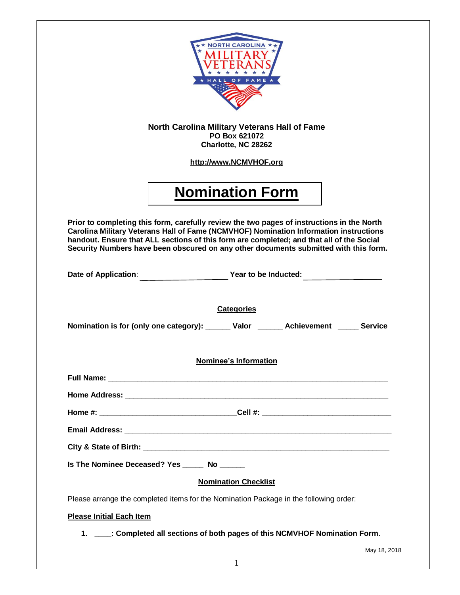

## **North Carolina Military Veterans Hall of Fame PO Box 621072 Charlotte, NC 28262**

**[http://www.NCMVHOF.org](http://www.gmvhof.org/)**

# **Nomination Form**

**Prior to completing this form, carefully review the two pages of instructions in the North Carolina Military Veterans Hall of Fame (NCMVHOF) Nomination Information instructions handout. Ensure that ALL sections of this form are completed; and that all of the Social Security Numbers have been obscured on any other documents submitted with this form.** 

| Date of Application: Vear to be Inducted: 2000 Mate of Application:                      |              |
|------------------------------------------------------------------------------------------|--------------|
|                                                                                          |              |
| <b>Categories</b>                                                                        |              |
| Nomination is for (only one category): _______ Valor ________ Achievement ______ Service |              |
|                                                                                          |              |
| <b>Nominee's Information</b>                                                             |              |
|                                                                                          |              |
|                                                                                          |              |
| Home #: ________________________________Cell #: ________________________________         |              |
|                                                                                          |              |
|                                                                                          |              |
| Is The Nominee Deceased? Yes ______ No ______                                            |              |
| <b>Nomination Checklist</b>                                                              |              |
| Please arrange the completed items for the Nomination Package in the following order:    |              |
| <b>Please Initial Each Item</b>                                                          |              |
| 1. ____: Completed all sections of both pages of this NCMVHOF Nomination Form.           |              |
|                                                                                          | May 18, 2018 |